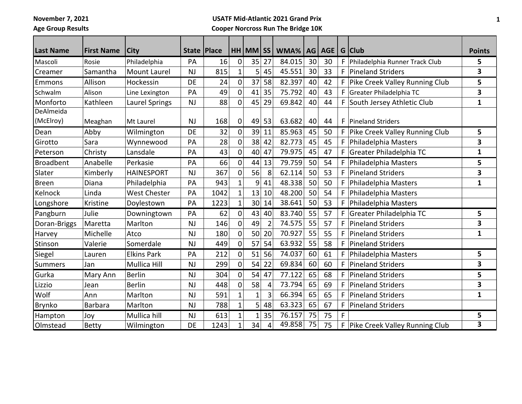**November 7, 2021**

**Age Group Results**

## **USATF Mid-Atlantic 2021 Grand Prix Cooper Norcross Run The Bridge 10K**

| <b>Last Name</b> | <b>First Name</b> | <b>City</b>         | State   Place |      |                | $HH$ MM $ SS $ |                | WMA%   | AGI | AGE |   | G Club                           | <b>Points</b> |
|------------------|-------------------|---------------------|---------------|------|----------------|----------------|----------------|--------|-----|-----|---|----------------------------------|---------------|
| Mascoli          | Rosie             | Philadelphia        | PA            | 16   | $\mathbf 0$    | 35             | 27             | 84.015 | 30  | 30  |   | F Philadelphia Runner Track Club | 5             |
| Creamer          | Samantha          | <b>Mount Laurel</b> | <b>NJ</b>     | 815  | $\mathbf{1}$   | 5              | 45             | 45.551 | 30  | 33  | F | Pineland Striders                | 3             |
| Emmons           | Allison           | Hockessin           | <b>DE</b>     | 24   | $\mathbf 0$    | 37             | 58             | 82.397 | 40  | 42  | F | Pike Creek Valley Running Club   | 5             |
| Schwalm          | Alison            | Line Lexington      | PA            | 49   | 0              | 41             | 35             | 75.792 | 40  | 43  | F | Greater Philadelphia TC          | 3             |
| Monforto         | Kathleen          | Laurel Springs      | <b>NJ</b>     | 88   | 0              | 45             | 29             | 69.842 | 40  | 44  | F | South Jersey Athletic Club       | 1             |
| DeAlmeida        |                   |                     |               |      |                |                |                |        |     |     |   |                                  |               |
| (McElroy)        | Meaghan           | Mt Laurel           | <b>NJ</b>     | 168  | $\mathbf 0$    | 49             | 53             | 63.682 | 40  | 44  | F | <b>Pineland Striders</b>         |               |
| Dean             | Abby              | Wilmington          | <b>DE</b>     | 32   | 0              | 39             | 11             | 85.963 | 45  | 50  |   | F Pike Creek Valley Running Club | 5             |
| Girotto          | Sara              | Wynnewood           | PA            | 28   | $\mathbf 0$    | 38             | 42             | 82.773 | 45  | 45  |   | Philadelphia Masters             | 3             |
| Peterson         | Christy           | Lansdale            | PA            | 43   | $\mathbf 0$    | 40             | 47             | 79.975 | 45  | 47  | F | Greater Philadelphia TC          | $\mathbf{1}$  |
| <b>Broadbent</b> | Anabelle          | Perkasie            | PA            | 66   | 0              | 44             | 13             | 79.759 | 50  | 54  | F | Philadelphia Masters             | 5             |
| Slater           | Kimberly          | <b>HAINESPORT</b>   | <b>NJ</b>     | 367  | $\overline{0}$ | 56             | 8              | 62.114 | 50  | 53  | F | Pineland Striders                | 3             |
| <b>Breen</b>     | Diana             | Philadelphia        | PA            | 943  | $\mathbf 1$    | 9              | 41             | 48.338 | 50  | 50  | F | Philadelphia Masters             | $\mathbf{1}$  |
| Kelnock          | Linda             | <b>West Chester</b> | PA            | 1042 | $\mathbf{1}$   | 13             | 10             | 48.200 | 50  | 54  | F | Philadelphia Masters             |               |
| Longshore        | Kristine          | Doylestown          | PA            | 1223 | $\mathbf{1}$   |                | 30 14          | 38.641 | 50  | 53  | F | Philadelphia Masters             |               |
| Pangburn         | Julie             | Downingtown         | PA            | 62   | 0              | 43             | 40             | 83.740 | 55  | 57  |   | F Greater Philadelphia TC        | 5             |
| Doran-Briggs     | Maretta           | Marlton             | <b>NJ</b>     | 146  | 0              | 49             | $\overline{2}$ | 74.575 | 55  | 57  | F | <b>Pineland Striders</b>         | 3             |
| Harvey           | Michelle          | Atco                | <b>NJ</b>     | 180  | 0              | 50             | 20             | 70.927 | 55  | 55  | E | <b>Pineland Striders</b>         | $\mathbf{1}$  |
| Stinson          | Valerie           | Somerdale           | NJ            | 449  | 0              | 57             | 54             | 63.932 | 55  | 58  | F | Pineland Striders                |               |
| Siegel           | Lauren            | <b>Elkins Park</b>  | PA            | 212  | $\overline{0}$ | 51             | 56             | 74.037 | 60  | 61  | F | Philadelphia Masters             | 5             |
| <b>Summers</b>   | Jan               | <b>Mullica Hill</b> | <b>NJ</b>     | 299  | $\mathbf 0$    | 54             | 22             | 69.834 | 60  | 60  | F | <b>Pineland Striders</b>         | 3             |
| Gurka            | Mary Ann          | <b>Berlin</b>       | <b>NJ</b>     | 304  | 0              | 54             | 47             | 77.122 | 65  | 68  | F | <b>Pineland Striders</b>         | 5             |
| Lizzio           | Jean              | <b>Berlin</b>       | <b>NJ</b>     | 448  | 0              | 58             | 4              | 73.794 | 65  | 69  | F | <b>Pineland Striders</b>         | 3             |
| Wolf             | Ann               | Marlton             | <b>NJ</b>     | 591  | $\mathbf{1}$   | $\mathbf{1}$   | 3              | 66.394 | 65  | 65  | F | <b>Pineland Striders</b>         | 1             |
| <b>Brynko</b>    | <b>Barbara</b>    | Marlton             | <b>NJ</b>     | 788  | $\mathbf 1$    | 5 <sup>1</sup> | 48             | 63.323 | 65  | 67  | F | <b>Pineland Striders</b>         |               |
| Hampton          | Joy               | Mullica hill        | <b>NJ</b>     | 613  | $\mathbf{1}$   | 1              | 35             | 76.157 | 75  | 75  | F |                                  | 5             |
| Olmstead         | Betty             | Wilmington          | DE            | 1243 | $\mathbf{1}$   | 34             | 4              | 49.858 | 75  | 75  | F | Pike Creek Valley Running Club   | 3             |